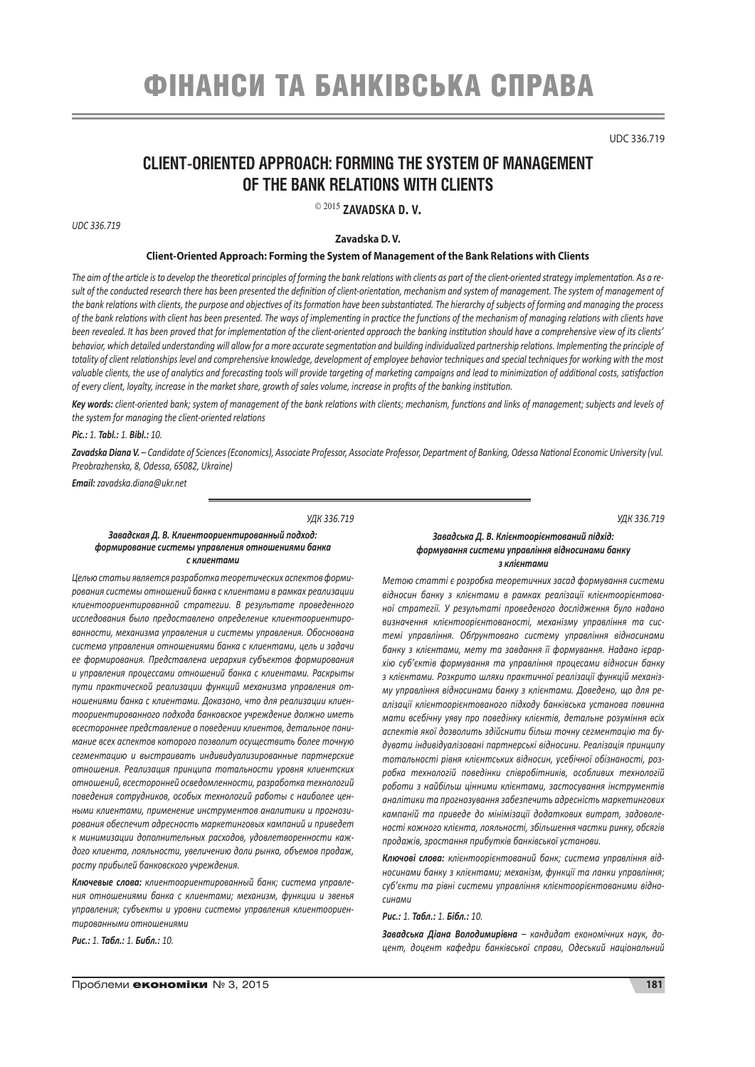# фінанси та банківська справа

UDC 336.719

*УДК 336.719* 

# **CLIENT-ORIENTED APPROACH: FORMING THE SYSTEM OF MANAGEMENT OF THE BANK RELATIONS WITH CLIENTS**

2015 **ZAVADSKA D. V.**

*UDC 336.719*

# **Zavadska D. V.**

#### **Client-Oriented Approach: Forming the System of Management of the Bank Relations with Clients**

*The aim of the article is to develop the theoretical principles of forming the bank relations with clients as part of the client-oriented strategy implementation. As a result of the conducted research there has been presented the definition of client-orientation, mechanism and system of management. The system of management of the bank relations with clients, the purpose and objectives of its formation have been substantiated. The hierarchy of subjects of forming and managing the process of the bank relations with client has been presented. The ways of implementing in practice the functions of the mechanism of managing relations with clients have been revealed. It has been proved that for implementation of the client-oriented approach the banking institution should have a comprehensive view of its clients' behavior, which detailed understanding will allow for a more accurate segmentation and building individualized partnership relations. Implementing the principle of totality of client relationships level and comprehensive knowledge, development of employee behavior techniques and special techniques for working with the most*  valuable clients, the use of analytics and forecasting tools will provide targeting of marketing campaigns and lead to minimization of additional costs, satisfaction *of every client, loyalty, increase in the market share, growth of sales volume, increase in profits of the banking institution.*

*Key words: client-oriented bank; system of management of the bank relations with clients; mechanism, functions and links of management; subjects and levels of the system for managing the client-oriented relations*

*Pic.: 1. Tabl.: 1. Bibl.: 10.* 

*Zavadska Diana V. – Candidate of Sciences (Economics), Associate Professor, Associate Professor, Department of Banking, Odessa National Economic University (vul. Preobrazhenska, 8, Odessa, 65082, Ukraine)*

*Email: zavadska.diana@ukr.net*

*УДК 336.719*

#### *Завадская Д. В. Клиентоориентированный подход: формирование системы управления отношениями банка с клиентами*

*Целью статьи является разработка теоретических аспектов формирования системы отношений банка с клиентами в рамках реализации клиентоориентированной стратегии. В результате проведенного исследования было предоставлено определение клиентоориентированности, механизма управления и системы управления. Обоснована система управления отношениями банка с клиентами, цель и задачи ее формирования. Представлена иерархия субъектов формирования и управления процессами отношений банка с клиентами. Раскрыты пути практической реализации функций механизма управления отношениями банка с клиентами. Доказано, что для реализации клиентоориентированного подхода банковское учреждение должно иметь всестороннее представление о поведении клиентов, детальное понимание всех аспектов которого позволит осуществить более точную сегментацию и выстраивать индивидуализированные партнерские отношения. Реализация принципа тотальности уровня клиентских отношений, всесторонней осведомленности, разработка технологий поведения сотрудников, особых технологий работы с наиболее ценными клиентами, применение инструментов аналитики и прогнозирования обеспечит адресность маркетинговых кампаний и приведет к минимизации дополнительных расходов, удовлетворенности каждого клиента, лояльности, увеличению доли рынка, объемов продаж, росту прибылей банковского учреждения.*

*Ключевые слова: клиентоориентированный банк; система управления отношениями банка с клиентами; механизм, функции и звенья управления; субъекты и уровни системы управления клиентоориентированными отношениями*

*Рис.: 1. Табл.: 1. Библ.: 10.* 

*Завадська Д. В. Клієнтоорієнтований підхід: формування системи управління відносинами банку з клієнтами*

*Метою статті є розробка теоретичних засад формування системи відносин банку з клієнтами в рамках реалізації клієнтоорієнтованої стратегії. У результаті проведеного дослідження було надано визначення клієнтоорієнтованості, механізму управління та системі управління. Обґрунтовано систему управління відносинами банку з клієнтами, мету та завдання її формування. Надано ієрархію суб'єктів формування та управління процесами відносин банку з клієнтами. Розкрито шляхи практичної реалізації функцій механізму управління відносинами банку з клієнтами. Доведено, що для реалізації клієнтоорієнтованого підходу банківська установа повинна мати всебічну уяву про поведінку клієнтів, детальне розуміння всіх аспектів якої дозволить здійснити більш точну сегментацію та будувати індивідуалізовані партнерські відносини. Реалізація принципу тотальності рівня клієнтських відносин, усебічної обізнаності, розробка технологій поведінки співробітників, особливих технологій роботи з найбільш цінними клієнтами, застосування інструментів аналітики та прогнозування забезпечить адресність маркетингових кампаній та приведе до мінімізації додаткових витрат, задоволеності кожного клієнта, лояльності, збільшення частки ринку, обсягів продажів, зростання прибутків банківської установи.*

*Ключові слова: клієнтоорієнтований банк; система управління відносинами банку з клієнтами; механізм, функції та ланки управління; суб'єкти та рівні системи управління клієнтоорієнтованими відносинами*

*Рис.: 1. Табл.: 1. Бібл.: 10.* 

*Завадська Діана Володимирівна – кандидат економічних наук, доцент, доцент кафедри банківської справи, Одеський національний*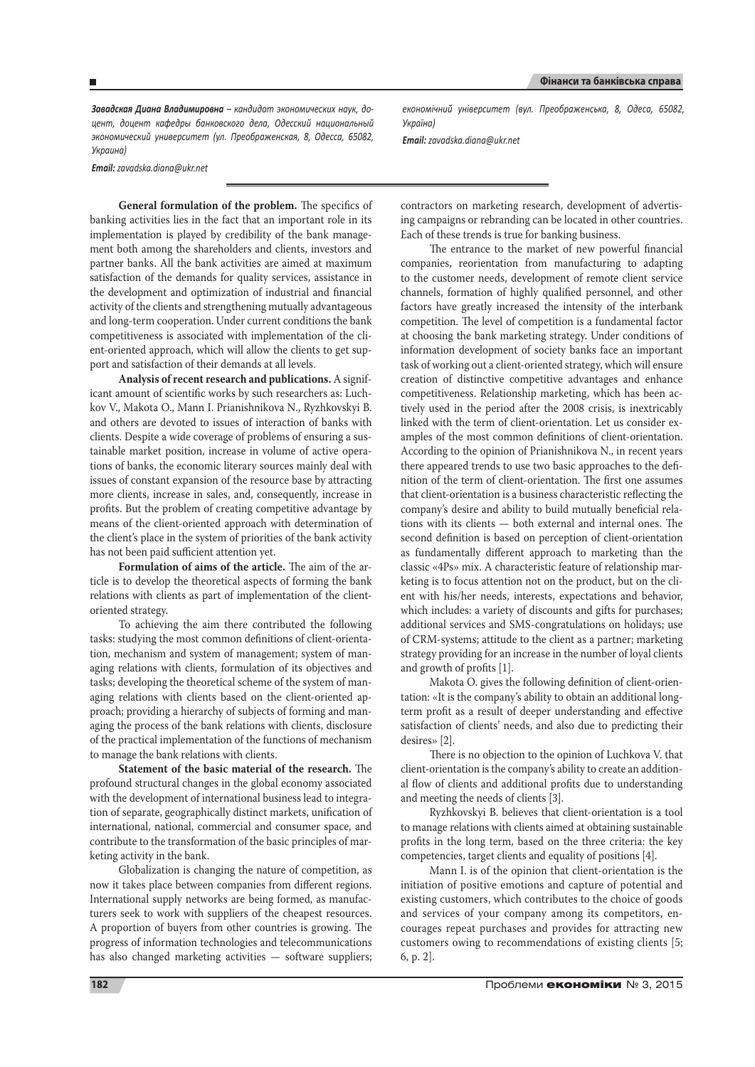*Завадская Диана Владимировна – кандидат экономических наук, доцент, доцент кафедры банковского дела, Одесский национальный экономический университет (ул. Преображенская, 8, Одесса, 65082, Украина)*

*Email: zavadska.diana@ukr.net*

**General formulation of the problem.** The specifics of banking activities lies in the fact that an important role in its implementation is played by credibility of the bank management both among the shareholders and clients, investors and partner banks. All the bank activities are aimed at maximum satisfaction of the demands for quality services, assistance in the development and optimization of industrial and financial activity of the clients and strengthening mutually advantageous and long-term cooperation. Under current conditions the bank competitiveness is associated with implementation of the client-oriented approach, which will allow the clients to get support and satisfaction of their demands at all levels.

**Analysis of recent research and publications.** A significant amount of scientific works by such researchers as: Luchkov V., Makota O., Mann I. Prianishnikova N., Ryzhkovskyi B. and others are devoted to issues of interaction of banks with clients. Despite a wide coverage of problems of ensuring a sustainable market position, increase in volume of active operations of banks, the economic literary sources mainly deal with issues of constant expansion of the resource base by attracting more clients, increase in sales, and, consequently, increase in profits. But the problem of creating competitive advantage by means of the client-oriented approach with determination of the client's place in the system of priorities of the bank activity has not been paid sufficient attention yet.

**Formulation of aims of the article.** The aim of the article is to develop the theoretical aspects of forming the bank relations with clients as part of implementation of the clientoriented strategy.

To achieving the aim there contributed the following tasks: studying the most common definitions of client-orientation, mechanism and system of management; system of managing relations with clients, formulation of its objectives and tasks; developing the theoretical scheme of the system of managing relations with clients based on the client-oriented approach; providing a hierarchy of subjects of forming and managing the process of the bank relations with clients, disclosure of the practical implementation of the functions of mechanism to manage the bank relations with clients.

**Statement of the basic material of the research.** The profound structural changes in the global economy associated with the development of international business lead to integration of separate, geographically distinct markets, unification of international, national, commercial and consumer space, and contribute to the transformation of the basic principles of marketing activity in the bank.

Globalization is changing the nature of competition, as now it takes place between companies from different regions. International supply networks are being formed, as manufacturers seek to work with suppliers of the cheapest resources. A proportion of buyers from other countries is growing. The progress of information technologies and telecommunications has also changed marketing activities — software suppliers; *економічний університет (вул. Преображенська, 8, Одеса, 65082, Україна)*

*Email: zavadska.diana@ukr.net*

contractors on marketing research, development of advertising campaigns or rebranding can be located in other countries. Each of these trends is true for banking business.

The entrance to the market of new powerful financial companies, reorientation from manufacturing to adapting to the customer needs, development of remote client service channels, formation of highly qualified personnel, and other factors have greatly increased the intensity of the interbank competition. The level of competition is a fundamental factor at choosing the bank marketing strategy. Under conditions of information development of society banks face an important task of working out a client-oriented strategy, which will ensure creation of distinctive competitive advantages and enhance competitiveness. Relationship marketing, which has been actively used in the period after the 2008 crisis, is inextricably linked with the term of client-orientation. Let us consider examples of the most common definitions of client-orientation. According to the opinion of Prianishnikova N., in recent years there appeared trends to use two basic approaches to the definition of the term of client-orientation. The first one assumes that client-orientation is a business characteristic reflecting the company's desire and ability to build mutually beneficial relations with its clients — both external and internal ones. The second definition is based on perception of client-orientation as fundamentally different approach to marketing than the classic «4Ps» mix. A characteristic feature of relationship marketing is to focus attention not on the product, but on the client with his/her needs, interests, expectations and behavior, which includes: a variety of discounts and gifts for purchases; additional services and SMS-congratulations on holidays; use of CRM-systems; attitude to the client as a partner; marketing strategy providing for an increase in the number of loyal clients and growth of profits [1].

Makota O. gives the following definition of client-orientation: «It is the company's ability to obtain an additional longterm profit as a result of deeper understanding and effective satisfaction of clients' needs, and also due to predicting their desires» [2].

There is no objection to the opinion of Luchkova V. that client-orientation is the company's ability to create an additional flow of clients and additional profits due to understanding and meeting the needs of clients [3].

Ryzhkovskyi B. believes that client-orientation is a tool to manage relations with clients aimed at obtaining sustainable profits in the long term, based on the three criteria: the key competencies, target clients and equality of positions [4].

Mann I. is of the opinion that client-orientation is the initiation of positive emotions and capture of potential and existing customers, which contributes to the choice of goods and services of your company among its competitors, encourages repeat purchases and provides for attracting new customers owing to recommendations of existing clients [5; 6, p. 2].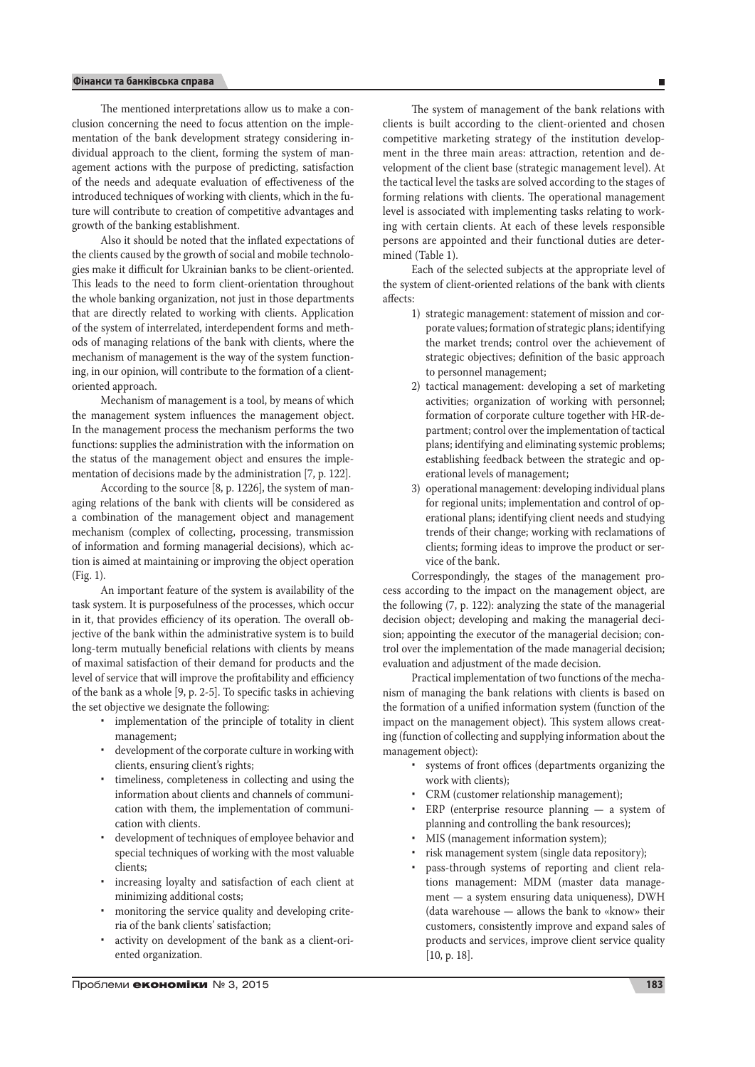The mentioned interpretations allow us to make a conclusion concerning the need to focus attention on the implementation of the bank development strategy considering individual approach to the client, forming the system of management actions with the purpose of predicting, satisfaction of the needs and adequate evaluation of effectiveness of the introduced techniques of working with clients, which in the future will contribute to creation of competitive advantages and growth of the banking establishment.

Also it should be noted that the inflated expectations of the clients caused by the growth of social and mobile technologies make it difficult for Ukrainian banks to be client-oriented. This leads to the need to form client-orientation throughout the whole banking organization, not just in those departments that are directly related to working with clients. Application of the system of interrelated, interdependent forms and methods of managing relations of the bank with clients, where the mechanism of management is the way of the system functioning, in our opinion, will contribute to the formation of a clientoriented approach.

Mechanism of management is a tool, by means of which the management system influences the management object. In the management process the mechanism performs the two functions: supplies the administration with the information on the status of the management object and ensures the implementation of decisions made by the administration [7, p. 122].

According to the source [8, p. 1226], the system of managing relations of the bank with clients will be considered as a combination of the management object and management mechanism (complex of collecting, processing, transmission of information and forming managerial decisions), which action is aimed at maintaining or improving the object operation (Fig. 1).

An important feature of the system is availability of the task system. It is purposefulness of the processes, which occur in it, that provides efficiency of its operation. The overall objective of the bank within the administrative system is to build long-term mutually beneficial relations with clients by means of maximal satisfaction of their demand for products and the level of service that will improve the profitability and efficiency of the bank as a whole [9, p. 2-5]. To specific tasks in achieving the set objective we designate the following:

- implementation of the principle of totality in client management;
- development of the corporate culture in working with clients, ensuring client's rights;
- timeliness, completeness in collecting and using the information about clients and channels of communication with them, the implementation of communication with clients.
- development of techniques of employee behavior and special techniques of working with the most valuable clients;
- increasing loyalty and satisfaction of each client at minimizing additional costs;
- monitoring the service quality and developing criteria of the bank clients' satisfaction;
- activity on development of the bank as a client-oriented organization.

 $\overline{\phantom{a}}$ 

The system of management of the bank relations with clients is built according to the client-oriented and chosen competitive marketing strategy of the institution development in the three main areas: attraction, retention and development of the client base (strategic management level). At the tactical level the tasks are solved according to the stages of forming relations with clients. The operational management level is associated with implementing tasks relating to working with certain clients. At each of these levels responsible persons are appointed and their functional duties are determined (Table 1).

Each of the selected subjects at the appropriate level of the system of client-oriented relations of the bank with clients affects:

- 1) strategic management: statement of mission and corporate values; formation of strategic plans; identifying the market trends; control over the achievement of strategic objectives; definition of the basic approach to personnel management;
- 2) tactical management: developing a set of marketing activities; organization of working with personnel; formation of corporate culture together with HR-department; control over the implementation of tactical plans; identifying and eliminating systemic problems; establishing feedback between the strategic and operational levels of management;
- 3) operational management: developing individual plans for regional units; implementation and control of operational plans; identifying client needs and studying trends of their change; working with reclamations of clients; forming ideas to improve the product or service of the bank.

Correspondingly, the stages of the management process according to the impact on the management object, are the following (7, p. 122): analyzing the state of the managerial decision object; developing and making the managerial decision; appointing the executor of the managerial decision; control over the implementation of the made managerial decision; evaluation and adjustment of the made decision.

Practical implementation of two functions of the mechanism of managing the bank relations with clients is based on the formation of a unified information system (function of the impact on the management object). This system allows creating (function of collecting and supplying information about the management object):

- systems of front offices (departments organizing the work with clients);
- CRM (customer relationship management);
- ERP (enterprise resource planning a system of planning and controlling the bank resources);
- MIS (management information system);
- risk management system (single data repository);
- pass-through systems of reporting and client relations management: MDM (master data management — a system ensuring data uniqueness), DWH (data warehouse — allows the bank to «know» their customers, consistently improve and expand sales of products and services, improve client service quality [10, p. 18].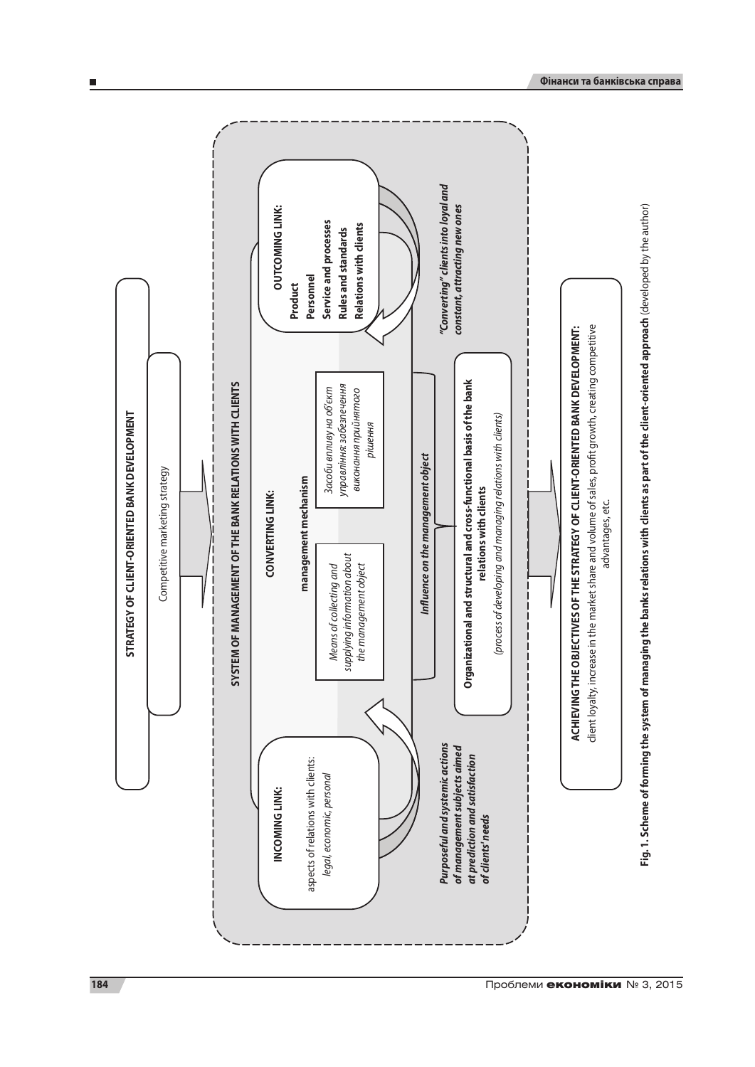

п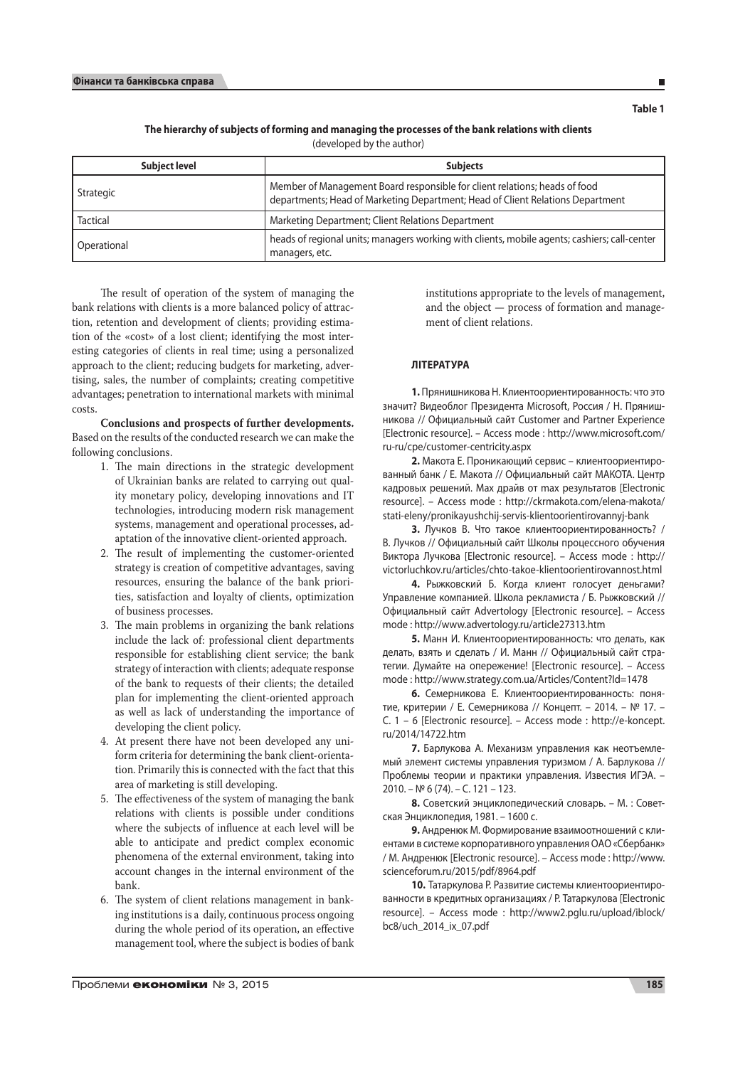Ē

## **The hierarchy of subjects of forming and managing the processes of the bank relations with clients**  (developed by the author)

| <b>Subject level</b> | <b>Subjects</b>                                                                                                                                              |
|----------------------|--------------------------------------------------------------------------------------------------------------------------------------------------------------|
| Strategic            | Member of Management Board responsible for client relations; heads of food<br>departments; Head of Marketing Department; Head of Client Relations Department |
| <b>Tactical</b>      | Marketing Department; Client Relations Department                                                                                                            |
| Operational          | heads of regional units; managers working with clients, mobile agents; cashiers; call-center<br>managers, etc.                                               |

The result of operation of the system of managing the bank relations with clients is a more balanced policy of attraction, retention and development of clients; providing estimation of the «cost» of a lost client; identifying the most interesting categories of clients in real time; using a personalized approach to the client; reducing budgets for marketing, advertising, sales, the number of complaints; creating competitive advantages; penetration to international markets with minimal costs.

**Conclusions and prospects of further developments.**  Based on the results of the conducted research we can make the following conclusions.

- 1. The main directions in the strategic development of Ukrainian banks are related to carrying out quality monetary policy, developing innovations and IT technologies, introducing modern risk management systems, management and operational processes, adaptation of the innovative client-oriented approach.
- 2. The result of implementing the customer-oriented strategy is creation of competitive advantages, saving resources, ensuring the balance of the bank priorities, satisfaction and loyalty of clients, optimization of business processes.
- 3. The main problems in organizing the bank relations include the lack of: professional client departments responsible for establishing client service; the bank strategy of interaction with clients; adequate response of the bank to requests of their clients; the detailed plan for implementing the client-oriented approach as well as lack of understanding the importance of developing the client policy.
- 4. At present there have not been developed any uniform criteria for determining the bank client-orientation. Primarily this is connected with the fact that this area of marketing is still developing.
- 5. The effectiveness of the system of managing the bank relations with clients is possible under conditions where the subjects of influence at each level will be able to anticipate and predict complex economic phenomena of the external environment, taking into account changes in the internal environment of the bank.
- 6. The system of client relations management in banking institutions is a daily, continuous process ongoing during the whole period of its operation, an effective management tool, where the subject is bodies of bank

institutions appropriate to the levels of management, and the object — process of formation and management of client relations.

# **Література**

**1.** Прянишникова Н. Клиентоориентированность: что это значит? Видеоблог Президента Microsoft, Россия / Н. Прянишникова // Официальный сайт Customer and Partner Experience [Electronic resource]. – Access mode : http://www.microsoft.com/ ru-ru/cpe/customer-centricity.aspx

**2.** Макота Е. Проникающий сервис – клиентоориентированный банк / Е. Макота // Официальный сайт МАКОТА. Центр кадровых решений. Max драйв от max результатов [Electronic resource]. – Access mode : http://ckrmakota.com/elena-makota/ stati-eleny/pronikayushchij-servis-klientoorientirovannyj-bank

**3.** Лучков В. Что такое клиентоориентированность? / В. Лучков // Официальный сайт Школы процессного обучения Виктора Лучкова [Electronic resource]. – Access mode : http:// victorluchkov.ru/articles/chto-takoe-klientoorientirovannost.html

**4.** Рыжковский Б. Когда клиент голосует деньгами? Управление компанией. Школа рекламиста / Б. Рыжковский // Официальный сайт Advertology [Electronic resource]. – Access mode : http://www.advertology.ru/article27313.htm

**5.** Манн И. Клиентоориентированность: что делать, как делать, взять и сделать / И. Манн // Официальный сайт стратегии. Думайте на опережение! [Electronic resource]. – Access mode : http://www.strategy.com.ua/Articles/Content?Id=1478

**6.** Семерникова Е. Клиентоориентированность: понятие, критерии / Е. Семерникова // Концепт. – 2014. – № 17. – С. 1 – 6 [Electronic resource]. – Access mode : http://e-koncept. ru/2014/14722.htm

**7.** Барлукова А. Механизм управления как неотъемлемый элемент системы управления туризмом / А. Барлукова // Проблемы теории и практики управления. Известия ИГЭА. – 2010. – № 6 (74). – С. 121 – 123.

**8.** Советский энциклопедический словарь. – М. : Советская Энциклопедия, 1981. – 1600 с.

**9.** Андренюк М. Формирование взаимоотношений с клиентами в системе корпоративного управления ОАО «Сбербанк» / М. Андренюк [Electronic resource]. – Access mode : http://www. scienceforum.ru/2015/pdf/8964.pdf

**10.** Татаркулова Р. Развитие системы клиентоориентированности в кредитных организациях / Р. Татаркулова [Electronic resource]. – Access mode : http://www2.pglu.ru/upload/iblock/ bc8/uch\_2014\_ix\_07.pdf